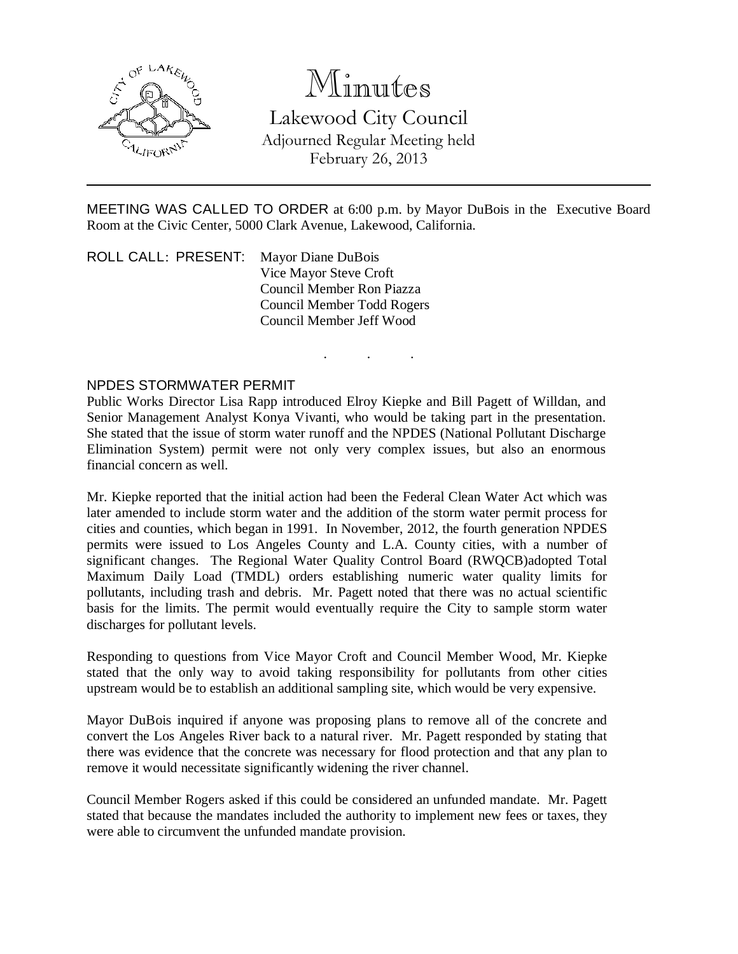

# Minutes

Lakewood City Council Adjourned Regular Meeting held February 26, 2013

MEETING WAS CALLED TO ORDER at 6:00 p.m. by Mayor DuBois in the Executive Board Room at the Civic Center, 5000 Clark Avenue, Lakewood, California.

. . .

ROLL CALL: PRESENT: Mayor Diane DuBois Vice Mayor Steve Croft Council Member Ron Piazza Council Member Todd Rogers Council Member Jeff Wood

#### NPDES STORMWATER PERMIT

Public Works Director Lisa Rapp introduced Elroy Kiepke and Bill Pagett of Willdan, and Senior Management Analyst Konya Vivanti, who would be taking part in the presentation. She stated that the issue of storm water runoff and the NPDES (National Pollutant Discharge Elimination System) permit were not only very complex issues, but also an enormous financial concern as well.

Mr. Kiepke reported that the initial action had been the Federal Clean Water Act which was later amended to include storm water and the addition of the storm water permit process for cities and counties, which began in 1991. In November, 2012, the fourth generation NPDES permits were issued to Los Angeles County and L.A. County cities, with a number of significant changes. The Regional Water Quality Control Board (RWQCB)adopted Total Maximum Daily Load (TMDL) orders establishing numeric water quality limits for pollutants, including trash and debris. Mr. Pagett noted that there was no actual scientific basis for the limits. The permit would eventually require the City to sample storm water discharges for pollutant levels.

Responding to questions from Vice Mayor Croft and Council Member Wood, Mr. Kiepke stated that the only way to avoid taking responsibility for pollutants from other cities upstream would be to establish an additional sampling site, which would be very expensive.

Mayor DuBois inquired if anyone was proposing plans to remove all of the concrete and convert the Los Angeles River back to a natural river. Mr. Pagett responded by stating that there was evidence that the concrete was necessary for flood protection and that any plan to remove it would necessitate significantly widening the river channel.

Council Member Rogers asked if this could be considered an unfunded mandate. Mr. Pagett stated that because the mandates included the authority to implement new fees or taxes, they were able to circumvent the unfunded mandate provision.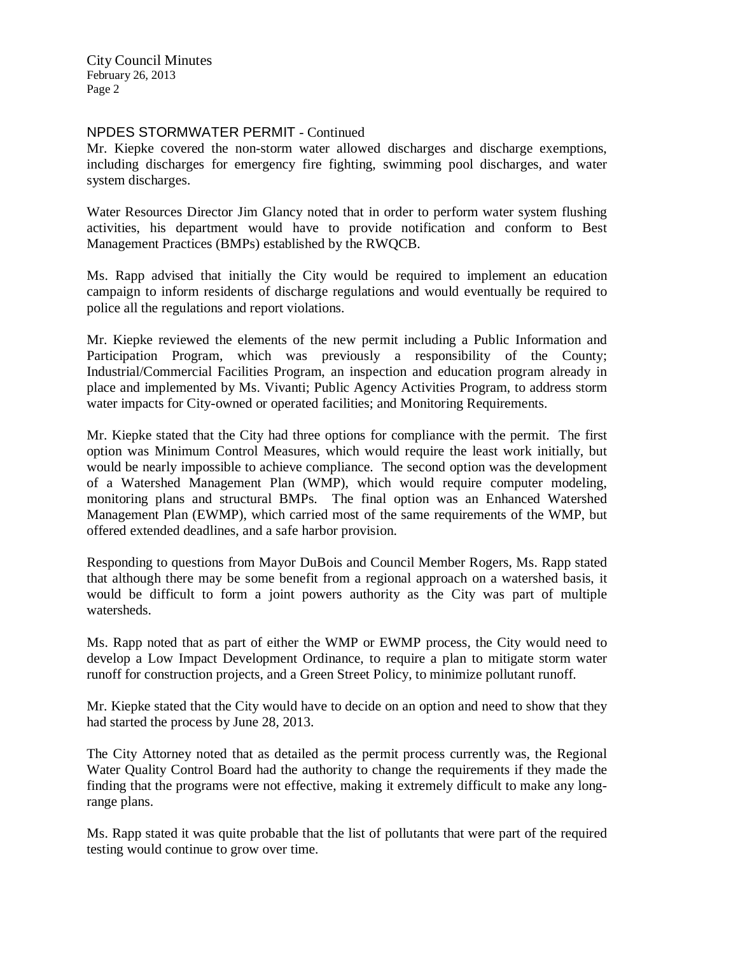City Council Minutes February 26, 2013 Page 2

### NPDES STORMWATER PERMIT - Continued

Mr. Kiepke covered the non-storm water allowed discharges and discharge exemptions, including discharges for emergency fire fighting, swimming pool discharges, and water system discharges.

Water Resources Director Jim Glancy noted that in order to perform water system flushing activities, his department would have to provide notification and conform to Best Management Practices (BMPs) established by the RWQCB.

Ms. Rapp advised that initially the City would be required to implement an education campaign to inform residents of discharge regulations and would eventually be required to police all the regulations and report violations.

Mr. Kiepke reviewed the elements of the new permit including a Public Information and Participation Program, which was previously a responsibility of the County; Industrial/Commercial Facilities Program, an inspection and education program already in place and implemented by Ms. Vivanti; Public Agency Activities Program, to address storm water impacts for City-owned or operated facilities; and Monitoring Requirements.

Mr. Kiepke stated that the City had three options for compliance with the permit. The first option was Minimum Control Measures, which would require the least work initially, but would be nearly impossible to achieve compliance. The second option was the development of a Watershed Management Plan (WMP), which would require computer modeling, monitoring plans and structural BMPs. The final option was an Enhanced Watershed Management Plan (EWMP), which carried most of the same requirements of the WMP, but offered extended deadlines, and a safe harbor provision.

Responding to questions from Mayor DuBois and Council Member Rogers, Ms. Rapp stated that although there may be some benefit from a regional approach on a watershed basis, it would be difficult to form a joint powers authority as the City was part of multiple watersheds.

Ms. Rapp noted that as part of either the WMP or EWMP process, the City would need to develop a Low Impact Development Ordinance, to require a plan to mitigate storm water runoff for construction projects, and a Green Street Policy, to minimize pollutant runoff.

Mr. Kiepke stated that the City would have to decide on an option and need to show that they had started the process by June 28, 2013.

The City Attorney noted that as detailed as the permit process currently was, the Regional Water Quality Control Board had the authority to change the requirements if they made the finding that the programs were not effective, making it extremely difficult to make any longrange plans.

Ms. Rapp stated it was quite probable that the list of pollutants that were part of the required testing would continue to grow over time.